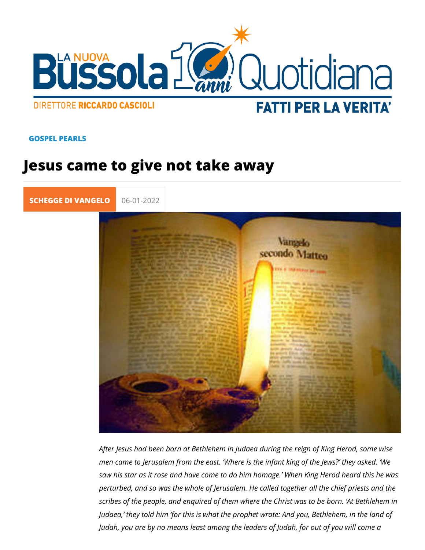## GOSPEL PEARLS

## Jesus came to give not take away

[SCHEGGE DI VA](https://lanuovabq.it/it/schegge-di-vangelo)| 06-01-2022

After Jesus had been born at Bethlehem in Judaea during the re men came to Jerusalem from the east. Where is the infant kin saw his star as it rose and have come to do him homage. Whe perturbed, and so was the whole of Jerusalem. He called toget scribes of the people, and enquired of them where the Christ v Judaea, they told him for this is what the prophet wrote: And Judah, you are by no means least among the leaders of Judah,